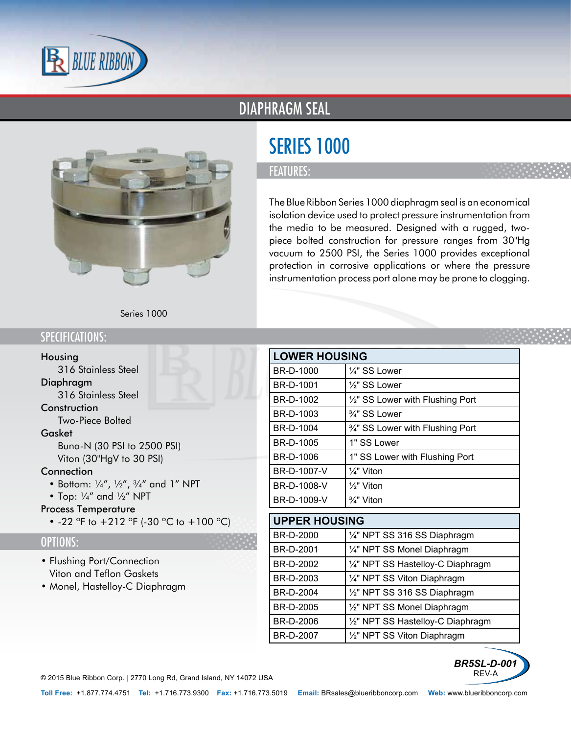

# DIAPHRAGM SEAL



# SERIES 1000

### FEATURES:

The Blue Ribbon Series 1000 diaphragm seal is an economical isolation device used to protect pressure instrumentation from the media to be measured. Designed with a rugged, twopiece bolted construction for pressure ranges from 30"Hg vacuum to 2500 PSI, the Series 1000 provides exceptional protection in corrosive applications or where the pressure instrumentation process port alone may be prone to clogging.

Series 1000

## SPECIFICATIONS:

#### Housing

• 316 Stainless Steel

#### Diaphragm

• 316 Stainless Steel

#### **Construction**

• Two-Piece Bolted

#### Gasket

- Buna-N (30 PSI to 2500 PSI)
- Viton (30"HgV to 30 PSI)

#### **Connection**

- Bottom:  $\frac{1}{4}$ ,  $\frac{1}{2}$ ,  $\frac{3}{4}$  and 1" NPT
- Top: ¼" and ½" NPT

#### Process Temperature

• -22 °F to  $+212$  °F (-30 °C to  $+100$  °C)

### OPTIONS:

- Flushing Port/Connection
- Viton and Teflon Gaskets
- Monel, Hastelloy-C Diaphragm

|             | <b>LOWER HOUSING</b>             |  |
|-------------|----------------------------------|--|
| BR-D-1000   | 1/4" SS Lower                    |  |
| BR-D-1001   | 1/2" SS Lower                    |  |
| BR-D-1002   | 1/2" SS Lower with Flushing Port |  |
| BR-D-1003   | 3/4" SS Lower                    |  |
| BR-D-1004   | 3/4" SS Lower with Flushing Port |  |
| BR-D-1005   | 1" SS Lower                      |  |
| BR-D-1006   | 1" SS Lower with Flushing Port   |  |
| BR-D-1007-V | $\frac{1}{4}$ " Viton            |  |
| BR-D-1008-V | $\frac{1}{2}$ " Viton            |  |
| BR-D-1009-V | $\frac{3}{4}$ " Viton            |  |

| <b>UPPER HOUSING</b> |                                   |
|----------------------|-----------------------------------|
| BR-D-2000            | 1/4" NPT SS 316 SS Diaphragm      |
| BR-D-2001            | 1/4" NPT SS Monel Diaphragm       |
| BR-D-2002            | 1/4" NPT SS Hastelloy-C Diaphragm |
| BR-D-2003            | 1/4" NPT SS Viton Diaphragm       |
| BR-D-2004            | 1/2" NPT SS 316 SS Diaphragm      |
| BR-D-2005            | 1/2" NPT SS Monel Diaphragm       |
| BR-D-2006            | 1/2" NPT SS Hastelloy-C Diaphragm |
| BR-D-2007            | 1/2" NPT SS Viton Diaphragm       |



© 2015 Blue Ribbon Corp. *<sup>|</sup>* 2770 Long Rd, Grand Island, NY 14072 USA

**Toll Free:** +1.877.774.4751 **Tel:** +1.716.773.9300 **Fax:** +1.716.773.5019 **Email:** BRsales@blueribboncorp.com **Web:** www.blueribboncorp.com